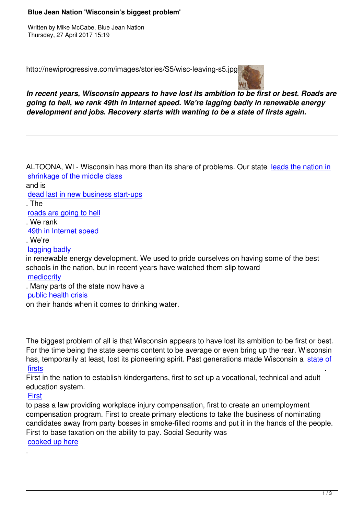Written by Mike McCabe, Blue Jean National According to Mike McCabe, Blue Jean National According to Mike McCa

http://newiprogressive.com/images/stories/S5/wisc-leaving-s5.jpg



*In recent years, Wisconsin appears to have lost its ambition to be first or best. Roads are going to hell, we rank 49th in Internet speed. We're lagging badly in renewable energy development and jobs. Recovery starts with wanting to be a state of firsts again.*

ALTOONA, WI - Wisconsin has more than its share of problems. Our state leads the nation in shrinkage of the middle class and is dead last in new business start-ups [. The](http://www.wpr.org/wisconsin-has-seen-largest-middle-class-decline-any-state-study-finds)  roads are going to hell [. We rank](http://www.jsonline.com/story/money/business/onramp/2016/08/25/wisconsin-innovation-last-again/89313028/)  49th in Internet speed [. We're](http://www.wkow.com/story/31363408/2016/03/Wednesday/dot-wi-roads-are-4th-worst-in-the-us)  lagging badly [in renewable energy de](http://www.jsonline.com/story/money/2016/08/08/wisconsin-broadband-speeds-lagging/88416370/)velopment. We used to pride ourselves on having some of the best schools in the nation, but in recent years have watched them slip toward

[mediocrity](http://wisconsinwatch.org/2014/10/wisconsin-lags-on-renewable-energy/)

. Many parts of the state now have a

public health crisis

[on their han](http://www.edweek.org/ew/qc/2015/state-highlights/2015/01/08/wisconsin-education-ranking.html)ds when it comes to drinking water.

The biggest problem of all is that Wisconsin appears to have lost its ambition to be first or best. For the time being the state seems content to be average or even bring up the rear. Wisconsin has, temporarily at least, lost its pioneering spirit. Past generations made Wisconsin a state of firsts .

First in the nation to establish kindergartens, first to set up a vocational, technical and adult education system.

## [First](http://www.wisconsinhistory.org/Content.aspx?dsNav=N:4294963828-4294963805&dsRecordDetails=R:CS2912)

.

to pass a law providing workplace injury compensation, first to create an unemployment compensation program. First to create primary elections to take the business of nominating [candi](https://en.wikipedia.org/wiki/History_of_Wisconsin#20th_century)dates away from party bosses in smoke-filled rooms and put it in the hands of the people. First to base taxation on the ability to pay. Social Security was cooked up here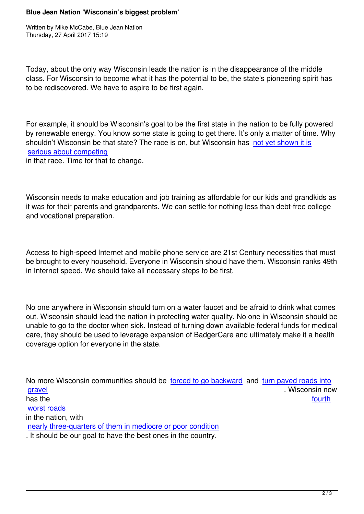Written by Mike McCabe, Blue Jean National According to Mike McCabe, Blue Jean National According to Mike McCa

Today, about the only way Wisconsin leads the nation is in the disappearance of the middle class. For Wisconsin to become what it has the potential to be, the state's pioneering spirit has to be rediscovered. We have to aspire to be first again.

For example, it should be Wisconsin's goal to be the first state in the nation to be fully powered by renewable energy. You know some state is going to get there. It's only a matter of time. Why shouldn't Wisconsin be that state? The race is on, but Wisconsin has not yet shown it is serious about competing in that race. Time for that to change.

Wisconsin needs to make education and job training as affordable for our kids and grandkids as it was for their parents and grandparents. We can settle for nothing less than debt-free college and vocational preparation.

Access to high-speed Internet and mobile phone service are 21st Century necessities that must be brought to every household. Everyone in Wisconsin should have them. Wisconsin ranks 49th in Internet speed. We should take all necessary steps to be first.

No one anywhere in Wisconsin should turn on a water faucet and be afraid to drink what comes out. Wisconsin should lead the nation in protecting water quality. No one in Wisconsin should be unable to go to the doctor when sick. Instead of turning down available federal funds for medical care, they should be used to leverage expansion of BadgerCare and ultimately make it a health coverage option for everyone in the state.

No more Wisconsin communities should be forced to go backward and turn paved roads into gravel **gravel gravel .** Wisconsin now has the state of the state of the state of the state of the state of the state of the state of the state of the worst roads [in the n](http://www.wpr.org/small-wisconsin-towns-paved-roads-return-gravel)ation, with nearly three-quarters of them in mediocre or poor condition [. It should be](http://www.wkow.com/story/31363408/2016/03/Wednesday/dot-wi-roads-are-4th-worst-in-the-us) our goal to have the best ones in the country.